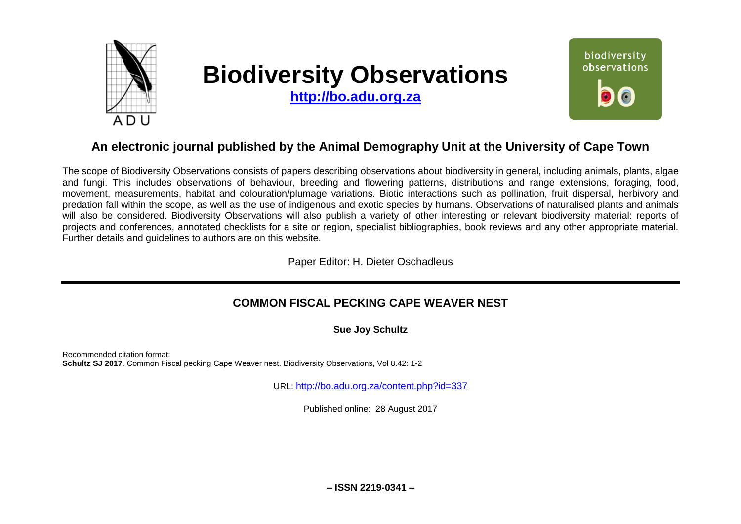

# **Biodiversity Observations**

**[http://bo.adu.org.za](http://bo.adu.org.za/)**



# **An electronic journal published by the Animal Demography Unit at the University of Cape Town**

The scope of Biodiversity Observations consists of papers describing observations about biodiversity in general, including animals, plants, algae and fungi. This includes observations of behaviour, breeding and flowering patterns, distributions and range extensions, foraging, food, movement, measurements, habitat and colouration/plumage variations. Biotic interactions such as pollination, fruit dispersal, herbivory and predation fall within the scope, as well as the use of indigenous and exotic species by humans. Observations of naturalised plants and animals will also be considered. Biodiversity Observations will also publish a variety of other interesting or relevant biodiversity material: reports of projects and conferences, annotated checklists for a site or region, specialist bibliographies, book reviews and any other appropriate material. Further details and guidelines to authors are on this website.

Paper Editor: H. Dieter Oschadleus

## **COMMON FISCAL PECKING CAPE WEAVER NEST**

**Sue Joy Schultz**

Recommended citation format: **Schultz SJ 2017**. Common Fiscal pecking Cape Weaver nest. Biodiversity Observations, Vol 8.42: 1-2

URL: <http://bo.adu.org.za/content.php?id=337>

Published online: 28 August 2017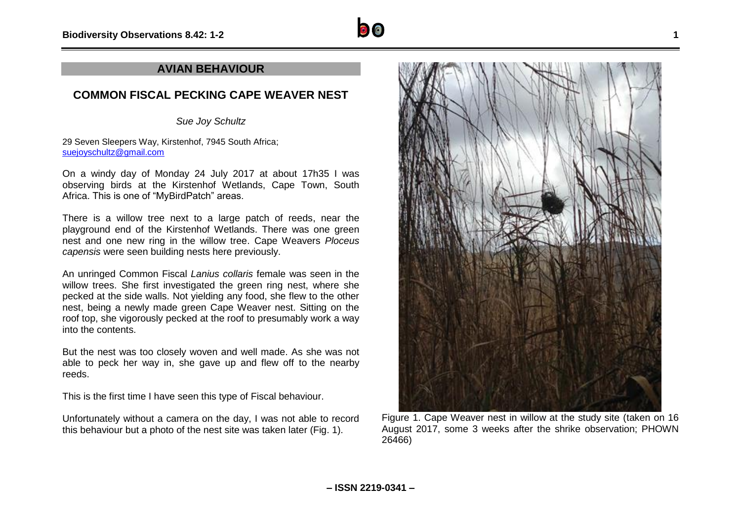### **AVIAN BEHAVIOUR**

## **COMMON FISCAL PECKING CAPE WEAVER NEST**

*Sue Joy Schultz*

29 Seven Sleepers Way, Kirstenhof, 7945 South Africa; [suejoyschultz@gmail.com](mailto:suejoyschultz@gmail.com)

On a windy day of Monday 24 July 2017 at about 17h35 I was observing birds at the Kirstenhof Wetlands, Cape Town, South Africa. This is one of "MyBirdPatch" areas.

There is a willow tree next to a large patch of reeds, near the playground end of the Kirstenhof Wetlands. There was one green nest and one new ring in the willow tree. Cape Weavers *Ploceus capensis* were seen building nests here previously.

An unringed Common Fiscal *Lanius collaris* female was seen in the willow trees. She first investigated the green ring nest, where she pecked at the side walls. Not yielding any food, she flew to the other nest, being a newly made green Cape Weaver nest. Sitting on the roof top, she vigorously pecked at the roof to presumably work a way into the contents.

But the nest was too closely woven and well made. As she was not able to peck her way in, she gave up and flew off to the nearby reeds.

This is the first time I have seen this type of Fiscal behaviour.

Unfortunately without a camera on the day, I was not able to record this behaviour but a photo of the nest site was taken later (Fig. 1).

26466)